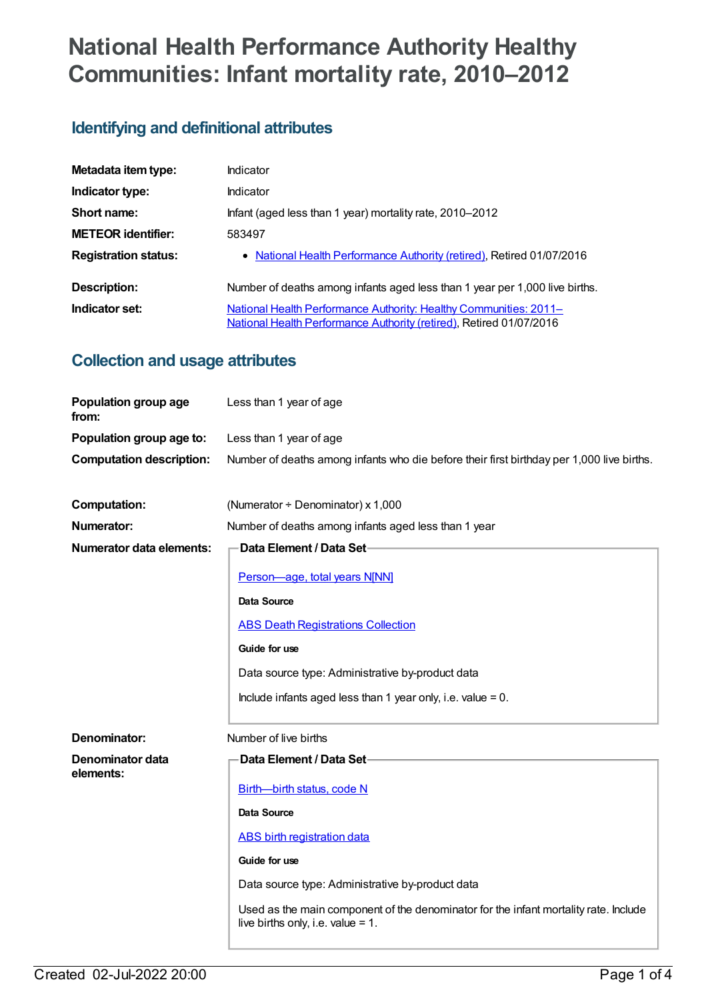# **National Health Performance Authority Healthy Communities: Infant mortality rate, 2010–2012**

## **Identifying and definitional attributes**

| Metadata item type:         | Indicator                                                                                                                                |
|-----------------------------|------------------------------------------------------------------------------------------------------------------------------------------|
| Indicator type:             | Indicator                                                                                                                                |
| Short name:                 | Infant (aged less than 1 year) mortality rate, 2010–2012                                                                                 |
| <b>METEOR identifier:</b>   | 583497                                                                                                                                   |
| <b>Registration status:</b> | • National Health Performance Authority (retired), Retired 01/07/2016                                                                    |
| Description:                | Number of deaths among infants aged less than 1 year per 1,000 live births.                                                              |
| Indicator set:              | National Health Performance Authority: Healthy Communities: 2011-<br>National Health Performance Authority (retired), Retired 01/07/2016 |

## **Collection and usage attributes**

| Population group age<br>from:   | Less than 1 year of age                                                                                                      |
|---------------------------------|------------------------------------------------------------------------------------------------------------------------------|
| Population group age to:        | Less than 1 year of age                                                                                                      |
| <b>Computation description:</b> | Number of deaths among infants who die before their first birthday per 1,000 live births.                                    |
| <b>Computation:</b>             | (Numerator $\div$ Denominator) x 1,000                                                                                       |
| <b>Numerator:</b>               | Number of deaths among infants aged less than 1 year                                                                         |
| <b>Numerator data elements:</b> | Data Element / Data Set-                                                                                                     |
|                                 | Person-age, total years N[NN]                                                                                                |
|                                 | Data Source                                                                                                                  |
|                                 | <b>ABS Death Registrations Collection</b>                                                                                    |
|                                 | Guide for use                                                                                                                |
|                                 | Data source type: Administrative by-product data                                                                             |
|                                 | Include infants aged less than 1 year only, i.e. value $= 0$ .                                                               |
| Denominator:                    | Number of live births                                                                                                        |
| <b>Denominator data</b>         | Data Element / Data Set-                                                                                                     |
| elements:                       | Birth-birth status, code N                                                                                                   |
|                                 | <b>Data Source</b>                                                                                                           |
|                                 | <b>ABS</b> birth registration data                                                                                           |
|                                 | Guide for use                                                                                                                |
|                                 | Data source type: Administrative by-product data                                                                             |
|                                 | Used as the main component of the denominator for the infant mortality rate. Include<br>live births only, i.e. value = $1$ . |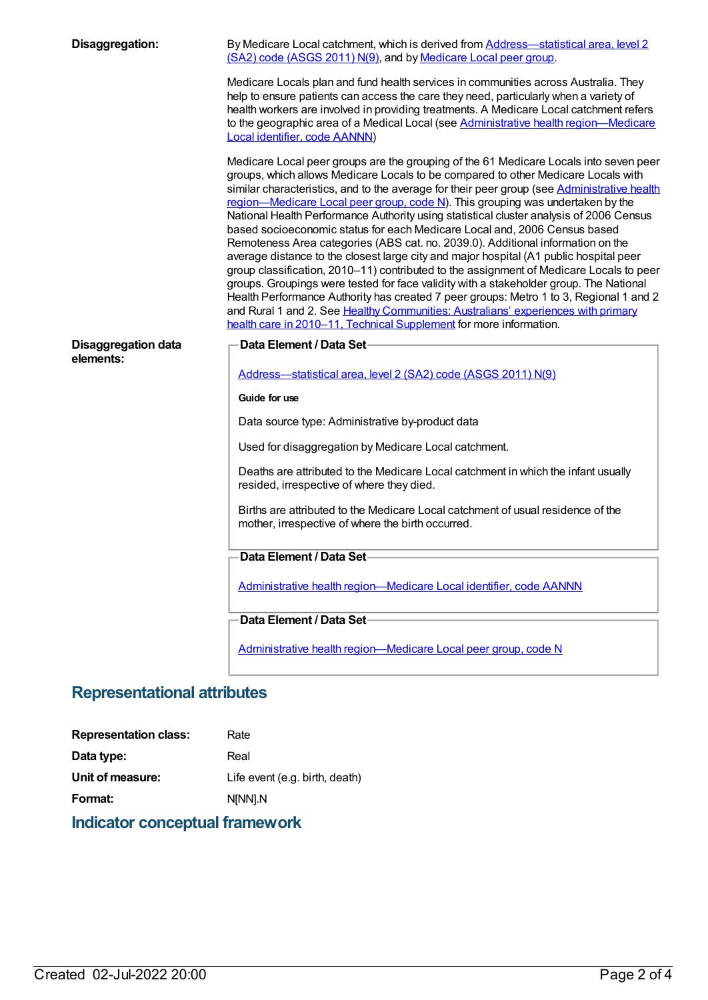| Disaggregation:                         | By Medicare Local catchment, which is derived from <b>Address—statistical area</b> , level 2<br>(SA2) code (ASGS 2011) N(9), and by Medicare Local peer group.                                                                                                                                                                                                                                                                                                                                                                                                                                                                                                                                                                                                                                                                                                                                                                                                                                                                                                                                                                                                |
|-----------------------------------------|---------------------------------------------------------------------------------------------------------------------------------------------------------------------------------------------------------------------------------------------------------------------------------------------------------------------------------------------------------------------------------------------------------------------------------------------------------------------------------------------------------------------------------------------------------------------------------------------------------------------------------------------------------------------------------------------------------------------------------------------------------------------------------------------------------------------------------------------------------------------------------------------------------------------------------------------------------------------------------------------------------------------------------------------------------------------------------------------------------------------------------------------------------------|
|                                         | Medicare Locals plan and fund health services in communities across Australia. They<br>help to ensure patients can access the care they need, particularly when a variety of<br>health workers are involved in providing treatments. A Medicare Local catchment refers<br>to the geographic area of a Medical Local (see Administrative health region-Medicare<br>Local identifier, code AANNN)                                                                                                                                                                                                                                                                                                                                                                                                                                                                                                                                                                                                                                                                                                                                                               |
|                                         | Medicare Local peer groups are the grouping of the 61 Medicare Locals into seven peer<br>groups, which allows Medicare Locals to be compared to other Medicare Locals with<br>similar characteristics, and to the average for their peer group (see Administrative health<br>region—Medicare Local peer group, code $N$ ). This grouping was undertaken by the<br>National Health Performance Authority using statistical cluster analysis of 2006 Census<br>based socioeconomic status for each Medicare Local and, 2006 Census based<br>Remoteness Area categories (ABS cat. no. 2039.0). Additional information on the<br>average distance to the closest large city and major hospital (A1 public hospital peer<br>group classification, 2010-11) contributed to the assignment of Medicare Locals to peer<br>groups. Groupings were tested for face validity with a stakeholder group. The National<br>Health Performance Authority has created 7 peer groups: Metro 1 to 3, Regional 1 and 2<br>and Rural 1 and 2. See Healthy Communities: Australians' experiences with primary<br>health care in 2010-11, Technical Supplement for more information. |
| <b>Disaggregation data</b><br>elements: | Data Element / Data Set-                                                                                                                                                                                                                                                                                                                                                                                                                                                                                                                                                                                                                                                                                                                                                                                                                                                                                                                                                                                                                                                                                                                                      |
|                                         | Address-statistical area, level 2 (SA2) code (ASGS 2011) N(9)                                                                                                                                                                                                                                                                                                                                                                                                                                                                                                                                                                                                                                                                                                                                                                                                                                                                                                                                                                                                                                                                                                 |
|                                         | Guide for use                                                                                                                                                                                                                                                                                                                                                                                                                                                                                                                                                                                                                                                                                                                                                                                                                                                                                                                                                                                                                                                                                                                                                 |
|                                         | Data source type: Administrative by-product data                                                                                                                                                                                                                                                                                                                                                                                                                                                                                                                                                                                                                                                                                                                                                                                                                                                                                                                                                                                                                                                                                                              |
|                                         | Used for disaggregation by Medicare Local catchment.                                                                                                                                                                                                                                                                                                                                                                                                                                                                                                                                                                                                                                                                                                                                                                                                                                                                                                                                                                                                                                                                                                          |
|                                         | Deaths are attributed to the Medicare Local catchment in which the infant usually<br>resided, irrespective of where they died.                                                                                                                                                                                                                                                                                                                                                                                                                                                                                                                                                                                                                                                                                                                                                                                                                                                                                                                                                                                                                                |
|                                         | Births are attributed to the Medicare Local catchment of usual residence of the<br>mother, irrespective of where the birth occurred.                                                                                                                                                                                                                                                                                                                                                                                                                                                                                                                                                                                                                                                                                                                                                                                                                                                                                                                                                                                                                          |
|                                         | Data Element / Data Set-                                                                                                                                                                                                                                                                                                                                                                                                                                                                                                                                                                                                                                                                                                                                                                                                                                                                                                                                                                                                                                                                                                                                      |
|                                         | Administrative health region-Medicare Local identifier, code AANNN                                                                                                                                                                                                                                                                                                                                                                                                                                                                                                                                                                                                                                                                                                                                                                                                                                                                                                                                                                                                                                                                                            |
|                                         | Data Element / Data Set-                                                                                                                                                                                                                                                                                                                                                                                                                                                                                                                                                                                                                                                                                                                                                                                                                                                                                                                                                                                                                                                                                                                                      |
|                                         | Administrative health region-Medicare Local peer group, code N                                                                                                                                                                                                                                                                                                                                                                                                                                                                                                                                                                                                                                                                                                                                                                                                                                                                                                                                                                                                                                                                                                |

## **Representational attributes**

| <b>Representation class:</b> | Rate                           |
|------------------------------|--------------------------------|
| Data type:                   | Real                           |
| Unit of measure:             | Life event (e.g. birth, death) |
| Format:                      | N[NN].N                        |
|                              |                                |

## **Indicator conceptual framework**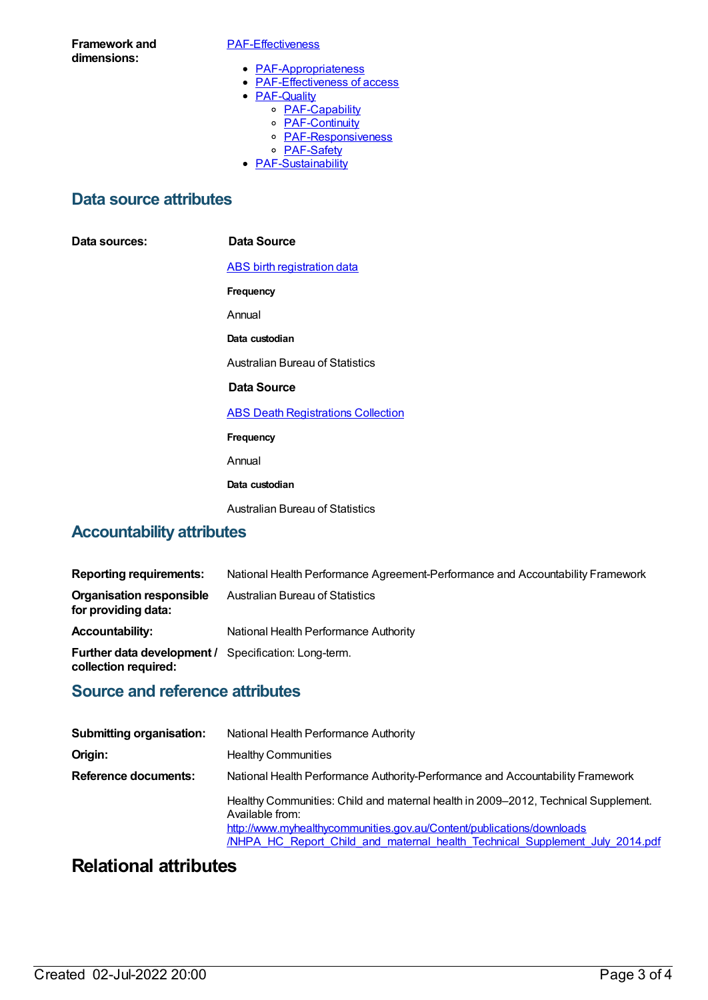**Framework and dimensions:**

#### [PAF-Effectiveness](https://meteor.aihw.gov.au/content/554925)

- [PAF-Appropriateness](https://meteor.aihw.gov.au/content/554929)
- [PAF-Effectiveness](https://meteor.aihw.gov.au/content/554928) of access
- **[PAF-Quality](https://meteor.aihw.gov.au/content/554930)** 
	- o [PAF-Capability](https://meteor.aihw.gov.au/content/554934)
	- o **[PAF-Continuity](https://meteor.aihw.gov.au/content/554935)**
	- o **[PAF-Responsiveness](https://meteor.aihw.gov.au/content/554933)**
	- o [PAF-Safety](https://meteor.aihw.gov.au/content/554932)
- [PAF-Sustainability](https://meteor.aihw.gov.au/content/554931)

#### **Data source attributes**

**Data sources: Data Source**

ABS birth [registration](https://meteor.aihw.gov.au/content/394483) data

**Frequency**

Annual

**Data custodian**

Australian Bureau of Statistics

#### **Data Source**

**ABS Death [Registrations](https://meteor.aihw.gov.au/content/394481) Collection** 

**Frequency**

Annual

**Data custodian**

Australian Bureau of Statistics

### **Accountability attributes**

| <b>Reporting requirements:</b>                                               | National Health Performance Agreement-Performance and Accountability Framework |
|------------------------------------------------------------------------------|--------------------------------------------------------------------------------|
| Organisation responsible<br>for providing data:                              | Australian Bureau of Statistics                                                |
| <b>Accountability:</b>                                                       | National Health Performance Authority                                          |
| Further data development / Specification: Long-term.<br>collection required: |                                                                                |

### **Source and reference attributes**

| <b>Submitting organisation:</b> | National Health Performance Authority                                                                                                                                                                                                                                 |  |
|---------------------------------|-----------------------------------------------------------------------------------------------------------------------------------------------------------------------------------------------------------------------------------------------------------------------|--|
| Origin:                         | <b>Healthy Communities</b>                                                                                                                                                                                                                                            |  |
| <b>Reference documents:</b>     | National Health Performance Authority-Performance and Accountability Framework                                                                                                                                                                                        |  |
|                                 | Healthy Communities: Child and maternal health in 2009–2012, Technical Supplement.<br>Available from:<br>http://www.myhealthycommunities.gov.au/Content/publications/downloads<br><b>/NHPA HC Report Child and maternal health Technical Supplement July 2014.pdf</b> |  |

### **Relational attributes**